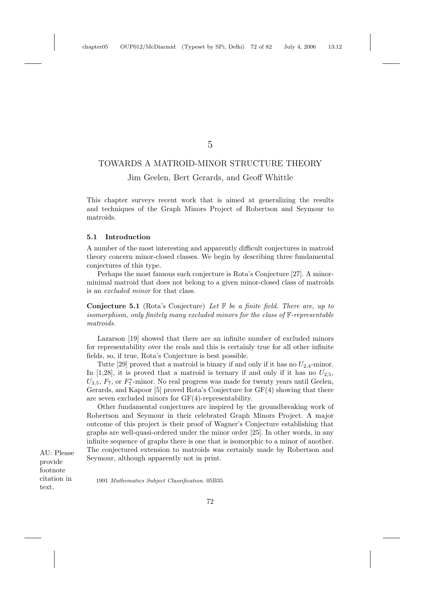5

# TOWARDS A MATROID-MINOR STRUCTURE THEORY

# Jim Geelen, Bert Gerards, and Geoff Whittle

This chapter surveys recent work that is aimed at generalizing the results and techniques of the Graph Minors Project of Robertson and Seymour to matroids.

### **5.1 Introduction**

A number of the most interesting and apparently difficult conjectures in matroid theory concern minor-closed classes. We begin by describing three fundamental conjectures of this type.

Perhaps the most famous such conjecture is Rota's Conjecture [27]. A minorminimal matroid that does not belong to a given minor-closed class of matroids is an excluded minor for that class.

**Conjecture 5.1** (Rota's Conjecture) Let F be a finite field. There are, up to isomorphism, only finitely many excluded minors for the class of F-representable matroids.

Lazarson [19] showed that there are an infinite number of excluded minors for representability over the reals and this is certainly true for all other infinite fields, so, if true, Rota's Conjecture is best possible.

Tutte [29] proved that a matroid is binary if and only if it has no  $U_{2,4}$ -minor. In [1,28], it is proved that a matroid is ternary if and only if it has no  $U_{2,5}$ ,  $U_{3,5}$ ,  $F_7$ , or  $F_7^*$ -minor. No real progress was made for twenty years until Geelen, Gerards, and Kapoor [5] proved Rota's Conjecture for GF(4) showing that there are seven excluded minors for GF(4)-representability.

Other fundamental conjectures are inspired by the groundbreaking work of Robertson and Seymour in their celebrated Graph Minors Project. A major outcome of this project is their proof of Wagner's Conjecture establishing that graphs are well-quasi-ordered under the minor order [25]. In other words, in any infinite sequence of graphs there is one that is isomorphic to a minor of another. The conjectured extension to matroids was certainly made by Robertson and Seymour, although apparently not in print.

AU: Please provide footnote citation in text.

1991 Mathematics Subject Classification. 05B35.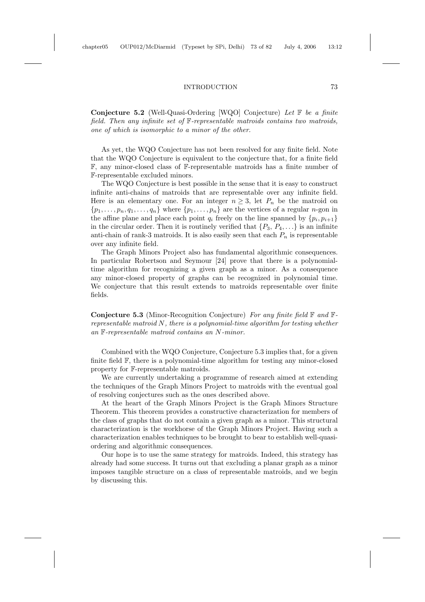### INTRODUCTION 73

**Conjecture 5.2** (Well-Quasi-Ordering [WQO] Conjecture) Let F be a finite field. Then any infinite set of F-representable matroids contains two matroids, one of which is isomorphic to a minor of the other.

As yet, the WQO Conjecture has not been resolved for any finite field. Note that the WQO Conjecture is equivalent to the conjecture that, for a finite field F, any minor-closed class of F-representable matroids has a finite number of F-representable excluded minors.

The WQO Conjecture is best possible in the sense that it is easy to construct infinite anti-chains of matroids that are representable over any infinite field. Here is an elementary one. For an integer  $n \geq 3$ , let  $P_n$  be the matroid on  $\{p_1,\ldots,p_n,q_1,\ldots,q_n\}$  where  $\{p_1,\ldots,p_n\}$  are the vertices of a regular *n*-gon in the affine plane and place each point  $q_i$  freely on the line spanned by  $\{p_i, p_{i+1}\}\$ in the circular order. Then it is routinely verified that  $\{P_3, P_4, \ldots\}$  is an infinite anti-chain of rank-3 matroids. It is also easily seen that each  $P_n$  is representable over any infinite field.

The Graph Minors Project also has fundamental algorithmic consequences. In particular Robertson and Seymour [24] prove that there is a polynomialtime algorithm for recognizing a given graph as a minor. As a consequence any minor-closed property of graphs can be recognized in polynomial time. We conjecture that this result extends to matroids representable over finite fields.

**Conjecture 5.3** (Minor-Recognition Conjecture) For any finite field F and Frepresentable matroid N, there is a polynomial-time algorithm for testing whether an F-representable matroid contains an N-minor.

Combined with the WQO Conjecture, Conjecture 5.3 implies that, for a given finite field F, there is a polynomial-time algorithm for testing any minor-closed property for F-representable matroids.

We are currently undertaking a programme of research aimed at extending the techniques of the Graph Minors Project to matroids with the eventual goal of resolving conjectures such as the ones described above.

At the heart of the Graph Minors Project is the Graph Minors Structure Theorem. This theorem provides a constructive characterization for members of the class of graphs that do not contain a given graph as a minor. This structural characterization is the workhorse of the Graph Minors Project. Having such a characterization enables techniques to be brought to bear to establish well-quasiordering and algorithmic consequences.

Our hope is to use the same strategy for matroids. Indeed, this strategy has already had some success. It turns out that excluding a planar graph as a minor imposes tangible structure on a class of representable matroids, and we begin by discussing this.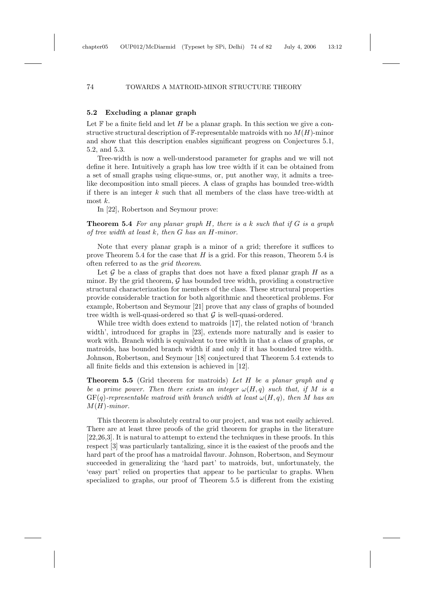# **5.2 Excluding a planar graph**

Let  $\mathbb F$  be a finite field and let H be a planar graph. In this section we give a constructive structural description of  $\mathbb{F}$ -representable matroids with no  $M(H)$ -minor and show that this description enables significant progress on Conjectures 5.1, 5.2, and 5.3.

Tree-width is now a well-understood parameter for graphs and we will not define it here. Intuitively a graph has low tree width if it can be obtained from a set of small graphs using clique-sums, or, put another way, it admits a treelike decomposition into small pieces. A class of graphs has bounded tree-width if there is an integer  $k$  such that all members of the class have tree-width at most  $k$ .

In [22], Robertson and Seymour prove:

**Theorem 5.4** For any planar graph  $H$ , there is a k such that if  $G$  is a graph of tree width at least  $k$ , then  $G$  has an  $H$ -minor.

Note that every planar graph is a minor of a grid; therefore it suffices to prove Theorem 5.4 for the case that  $H$  is a grid. For this reason, Theorem 5.4 is often referred to as the grid theorem.

Let G be a class of graphs that does not have a fixed planar graph  $H$  as a minor. By the grid theorem,  $\mathcal G$  has bounded tree width, providing a constructive structural characterization for members of the class. These structural properties provide considerable traction for both algorithmic and theoretical problems. For example, Robertson and Seymour [21] prove that any class of graphs of bounded tree width is well-quasi-ordered so that  $G$  is well-quasi-ordered.

While tree width does extend to matroids [17], the related notion of 'branch width', introduced for graphs in [23], extends more naturally and is easier to work with. Branch width is equivalent to tree width in that a class of graphs, or matroids, has bounded branch width if and only if it has bounded tree width. Johnson, Robertson, and Seymour [18] conjectured that Theorem 5.4 extends to all finite fields and this extension is achieved in [12].

**Theorem 5.5** (Grid theorem for matroids) Let H be a planar graph and q be a prime power. Then there exists an integer  $\omega(H, q)$  such that, if M is a  $GF(q)$ -representable matroid with branch width at least  $\omega(H,q)$ , then M has an  $M(H)$ -minor.

This theorem is absolutely central to our project, and was not easily achieved. There are at least three proofs of the grid theorem for graphs in the literature [22,26,3]. It is natural to attempt to extend the techniques in these proofs. In this respect [3] was particularly tantalizing, since it is the easiest of the proofs and the hard part of the proof has a matroidal flavour. Johnson, Robertson, and Seymour succeeded in generalizing the 'hard part' to matroids, but, unfortunately, the 'easy part' relied on properties that appear to be particular to graphs. When specialized to graphs, our proof of Theorem 5.5 is different from the existing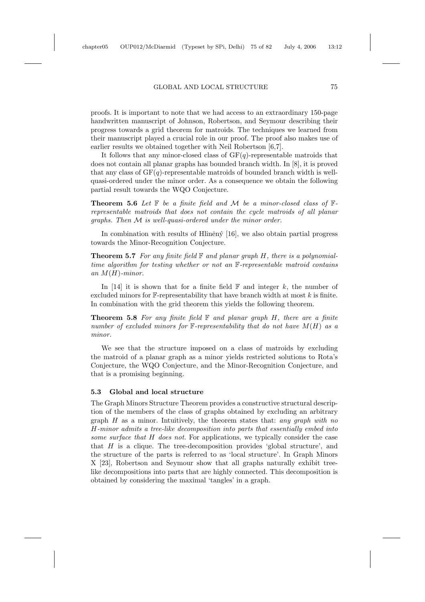#### GLOBAL AND LOCAL STRUCTURE 75

proofs. It is important to note that we had access to an extraordinary 150-page handwritten manuscript of Johnson, Robertson, and Seymour describing their progress towards a grid theorem for matroids. The techniques we learned from their manuscript played a crucial role in our proof. The proof also makes use of earlier results we obtained together with Neil Robertson [6,7].

It follows that any minor-closed class of  $GF(q)$ -representable matroids that does not contain all planar graphs has bounded branch width. In [8], it is proved that any class of  $GF(q)$ -representable matroids of bounded branch width is wellquasi-ordered under the minor order. As a consequence we obtain the following partial result towards the WQO Conjecture.

**Theorem 5.6** Let  $\mathbb F$  be a finite field and  $\mathcal M$  be a minor-closed class of  $\mathbb F$ representable matroids that does not contain the cycle matroids of all planar graphs. Then M is well-quasi-ordered under the minor order.

In combination with results of Hliněný  $[16]$ , we also obtain partial progress towards the Minor-Recognition Conjecture.

**Theorem 5.7** For any finite field  $\mathbb{F}$  and planar graph  $H$ , there is a polynomialtime algorithm for testing whether or not an F-representable matroid contains an  $M(H)$ -minor.

In [14] it is shown that for a finite field  $\mathbb F$  and integer k, the number of excluded minors for  $\mathbb{F}$ -representability that have branch width at most k is finite. In combination with the grid theorem this yields the following theorem.

**Theorem 5.8** For any finite field  $\mathbb{F}$  and planar graph  $H$ , there are a finite number of excluded minors for  $\mathbb{F}$ -representability that do not have  $M(H)$  as a minor.

We see that the structure imposed on a class of matroids by excluding the matroid of a planar graph as a minor yields restricted solutions to Rota's Conjecture, the WQO Conjecture, and the Minor-Recognition Conjecture, and that is a promising beginning.

## **5.3 Global and local structure**

The Graph Minors Structure Theorem provides a constructive structural description of the members of the class of graphs obtained by excluding an arbitrary graph  $H$  as a minor. Intuitively, the theorem states that: any graph with no H-minor admits a tree-like decomposition into parts that essentially embed into some surface that H does not. For applications, we typically consider the case that  $H$  is a clique. The tree-decomposition provides 'global structure', and the structure of the parts is referred to as 'local structure'. In Graph Minors X [23], Robertson and Seymour show that all graphs naturally exhibit treelike decompositions into parts that are highly connected. This decomposition is obtained by considering the maximal 'tangles' in a graph.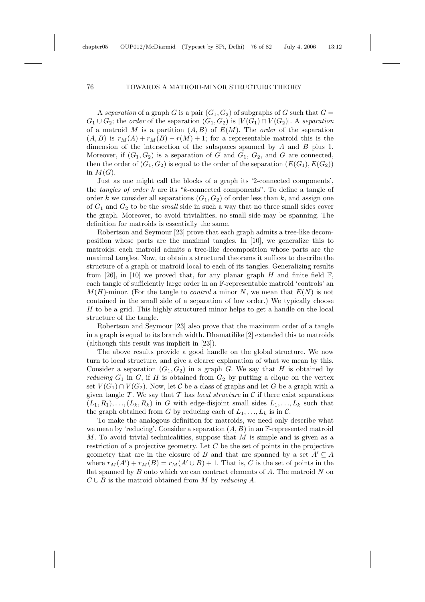A separation of a graph G is a pair  $(G_1, G_2)$  of subgraphs of G such that  $G =$  $G_1 \cup G_2$ ; the *order* of the separation  $(G_1, G_2)$  is  $|V(G_1) \cap V(G_2)|$ . A separation of a matroid M is a partition  $(A, B)$  of  $E(M)$ . The *order* of the separation  $(A, B)$  is  $r_M(A) + r_M(B) - r(M) + 1$ ; for a representable matroid this is the dimension of the intersection of the subspaces spanned by  $A$  and  $B$  plus 1. Moreover, if  $(G_1, G_2)$  is a separation of G and  $G_1, G_2$ , and G are connected, then the order of  $(G_1, G_2)$  is equal to the order of the separation  $(E(G_1), E(G_2))$ in  $M(G)$ .

Just as one might call the blocks of a graph its '2-connected components', the tangles of order k are its "k-connected components". To define a tangle of order k we consider all separations  $(G_1, G_2)$  of order less than k, and assign one of  $G_1$  and  $G_2$  to be the *small* side in such a way that no three small sides cover the graph. Moreover, to avoid trivialities, no small side may be spanning. The definition for matroids is essentially the same.

Robertson and Seymour [23] prove that each graph admits a tree-like decomposition whose parts are the maximal tangles. In [10], we generalize this to matroids: each matroid admits a tree-like decomposition whose parts are the maximal tangles. Now, to obtain a structural theorems it suffices to describe the structure of a graph or matroid local to each of its tangles. Generalizing results from [26], in [10] we proved that, for any planar graph H and finite field  $\mathbb{F}$ , each tangle of sufficiently large order in an F-representable matroid 'controls' an  $M(H)$ -minor. (For the tangle to *control* a minor N, we mean that  $E(N)$  is not contained in the small side of a separation of low order.) We typically choose H to be a grid. This highly structured minor helps to get a handle on the local structure of the tangle.

Robertson and Seymour [23] also prove that the maximum order of a tangle in a graph is equal to its branch width. Dhamatilike [2] extended this to matroids (although this result was implicit in [23]).

The above results provide a good handle on the global structure. We now turn to local structure, and give a clearer explanation of what we mean by this. Consider a separation  $(G_1, G_2)$  in a graph G. We say that H is obtained by *reducing*  $G_1$  in  $G$ , if  $H$  is obtained from  $G_2$  by putting a clique on the vertex set  $V(G_1) \cap V(G_2)$ . Now, let C be a class of graphs and let G be a graph with a given tangle T. We say that T has local structure in C if there exist separations  $(L_1,R_1),...,(L_k,R_k)$  in G with edge-disjoint small sides  $L_1,...,L_k$  such that the graph obtained from G by reducing each of  $L_1, \ldots, L_k$  is in C.

To make the analogous definition for matroids, we need only describe what we mean by 'reducing'. Consider a separation  $(A, B)$  in an F-represented matroid M. To avoid trivial technicalities, suppose that M is simple and is given as a restriction of a projective geometry. Let C be the set of points in the projective geometry that are in the closure of B and that are spanned by a set  $A' \subseteq A$ where  $r_M(A') + r_M(B) = r_M(A' \cup B) + 1$ . That is, C is the set of points in the flat spanned by  $B$  onto which we can contract elements of  $A$ . The matroid  $N$  on  $C \cup B$  is the matroid obtained from M by reducing A.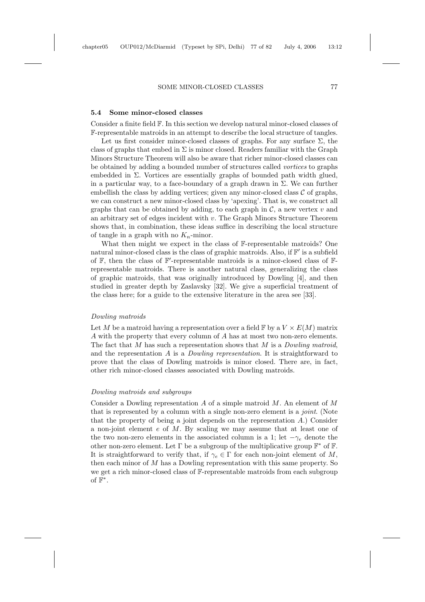## SOME MINOR-CLOSED CLASSES 77

### **5.4 Some minor-closed classes**

Consider a finite field F. In this section we develop natural minor-closed classes of F-representable matroids in an attempt to describe the local structure of tangles.

Let us first consider minor-closed classes of graphs. For any surface  $\Sigma$ , the class of graphs that embed in  $\Sigma$  is minor closed. Readers familiar with the Graph Minors Structure Theorem will also be aware that richer minor-closed classes can be obtained by adding a bounded number of structures called vortices to graphs embedded in Σ. Vortices are essentially graphs of bounded path width glued, in a particular way, to a face-boundary of a graph drawn in  $\Sigma$ . We can further embellish the class by adding vertices; given any minor-closed class  $\mathcal C$  of graphs, we can construct a new minor-closed class by 'apexing'. That is, we construct all graphs that can be obtained by adding, to each graph in  $\mathcal{C}$ , a new vertex v and an arbitrary set of edges incident with  $v$ . The Graph Minors Structure Theorem shows that, in combination, these ideas suffice in describing the local structure of tangle in a graph with no  $K_n$ -minor.

What then might we expect in the class of F-representable matroids? One natural minor-closed class is the class of graphic matroids. Also, if  $\mathbb{F}'$  is a subfield of  $\mathbb{F}$ , then the class of  $\mathbb{F}'$ -representable matroids is a minor-closed class of  $\mathbb{F}$ representable matroids. There is another natural class, generalizing the class of graphic matroids, that was originally introduced by Dowling [4], and then studied in greater depth by Zaslavsky [32]. We give a superficial treatment of the class here; for a guide to the extensive literature in the area see [33].

### Dowling matroids

Let M be a matroid having a representation over a field  $\mathbb{F}$  by a  $V \times E(M)$  matrix A with the property that every column of A has at most two non-zero elements. The fact that M has such a representation shows that M is a Dowling matroid, and the representation A is a Dowling representation. It is straightforward to prove that the class of Dowling matroids is minor closed. There are, in fact, other rich minor-closed classes associated with Dowling matroids.

# Dowling matroids and subgroups

Consider a Dowling representation A of a simple matroid  $M$ . An element of M that is represented by a column with a single non-zero element is a *joint*. (Note that the property of being a joint depends on the representation A.) Consider a non-joint element  $e$  of  $M$ . By scaling we may assume that at least one of the two non-zero elements in the associated column is a 1; let  $-\gamma_e$  denote the other non-zero element. Let  $\Gamma$  be a subgroup of the multiplicative group  $\mathbb{F}^*$  of  $\mathbb{F}$ . It is straightforward to verify that, if  $\gamma_e \in \Gamma$  for each non-joint element of M, then each minor of M has a Dowling representation with this same property. So we get a rich minor-closed class of F-representable matroids from each subgroup of  $\mathbb{F}^*$ .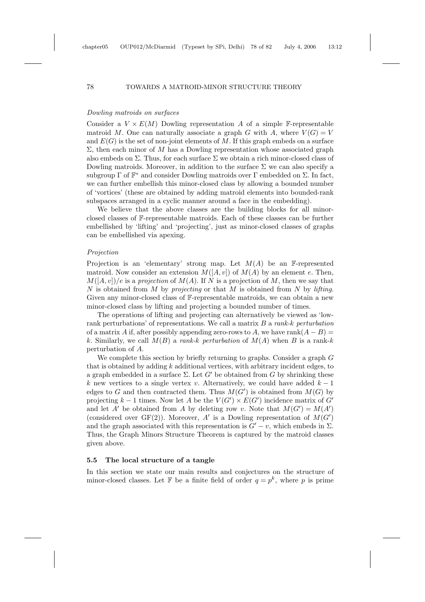# Dowling matroids on surfaces

Consider a  $V \times E(M)$  Dowling representation A of a simple F-representable matroid M. One can naturally associate a graph G with A, where  $V(G) = V$ and  $E(G)$  is the set of non-joint elements of M. If this graph embeds on a surface  $Σ$ , then each minor of M has a Dowling representation whose associated graph also embeds on  $\Sigma$ . Thus, for each surface  $\Sigma$  we obtain a rich minor-closed class of Dowling matroids. Moreover, in addition to the surface  $\Sigma$  we can also specify a subgroup  $\Gamma$  of  $\mathbb{F}^*$  and consider Dowling matroids over  $\Gamma$  embedded on  $\Sigma$ . In fact, we can further embellish this minor-closed class by allowing a bounded number of 'vortices' (these are obtained by adding matroid elements into bounded-rank subspaces arranged in a cyclic manner around a face in the embedding).

We believe that the above classes are the building blocks for all minorclosed classes of F-representable matroids. Each of these classes can be further embellished by 'lifting' and 'projecting', just as minor-closed classes of graphs can be embellished via apexing.

#### Projection

Projection is an 'elementary' strong map. Let  $M(A)$  be an F-represented matroid. Now consider an extension  $M([A, v])$  of  $M(A)$  by an element e. Then,  $M([A, v])/e$  is a projection of  $M(A)$ . If N is a projection of M, then we say that N is obtained from M by projecting or that M is obtained from N by lifting. Given any minor-closed class of F-representable matroids, we can obtain a new minor-closed class by lifting and projecting a bounded number of times.

The operations of lifting and projecting can alternatively be viewed as 'lowrank perturbations' of representations. We call a matrix  $B$  a rank-k perturbation of a matrix A if, after possibly appending zero-rows to A, we have rank $(A - B)$  = k. Similarly, we call  $M(B)$  a rank-k perturbation of  $M(A)$  when B is a rank-k perturbation of A.

We complete this section by briefly returning to graphs. Consider a graph G that is obtained by adding k additional vertices, with arbitrary incident edges, to a graph embedded in a surface  $\Sigma$ . Let  $G'$  be obtained from G by shrinking these k new vertices to a single vertex v. Alternatively, we could have added  $k-1$ edges to G and then contracted them. Thus  $M(G')$  is obtained from  $M(G)$  by projecting  $k-1$  times. Now let A be the  $V(G') \times E(G')$  incidence matrix of G' and let A' be obtained from A by deleting row v. Note that  $M(G') = M(A')$ (considered over  $GF(2)$ ). Moreover, A' is a Dowling representation of  $M(G')$ and the graph associated with this representation is  $G'-v$ , which embeds in  $\Sigma$ . Thus, the Graph Minors Structure Theorem is captured by the matroid classes given above.

#### **5.5 The local structure of a tangle**

In this section we state our main results and conjectures on the structure of minor-closed classes. Let F be a finite field of order  $q = p^k$ , where p is prime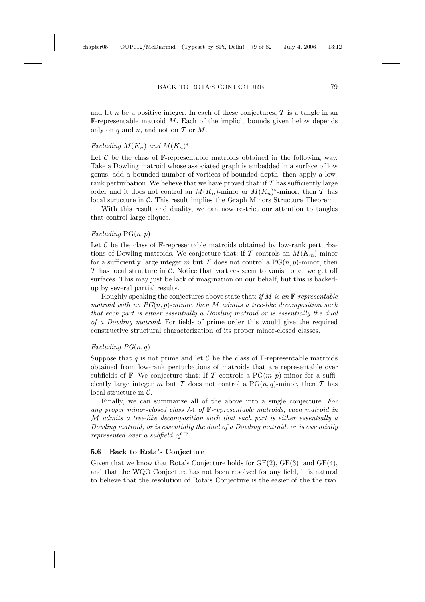#### BACK TO ROTA'S CONJECTURE 79

and let n be a positive integer. In each of these conjectures,  $\mathcal T$  is a tangle in an  $F$ -representable matroid  $M$ . Each of the implicit bounds given below depends only on  $q$  and  $n$ , and not on  $\mathcal T$  or  $M$ .

## Excluding  $M(K_n)$  and  $M(K_n)^*$

Let  $\mathcal C$  be the class of F-representable matroids obtained in the following way. Take a Dowling matroid whose associated graph is embedded in a surface of low genus; add a bounded number of vortices of bounded depth; then apply a lowrank perturbation. We believe that we have proved that: if  $T$  has sufficiently large order and it does not control an  $M(K_n)$ -minor or  $M(K_n)$ <sup>\*</sup>-minor, then T has local structure in  $\mathcal C$ . This result implies the Graph Minors Structure Theorem.

With this result and duality, we can now restrict our attention to tangles that control large cliques.

# $Excluding PG(n,p)$

Let  $\mathcal C$  be the class of  $\mathbb F$ -representable matroids obtained by low-rank perturbations of Dowling matroids. We conjecture that: if T controls an  $M(K_m)$ -minor for a sufficiently large integer m but T does not control a  $PG(n, p)$ -minor, then  $\mathcal T$  has local structure in C. Notice that vortices seem to vanish once we get off surfaces. This may just be lack of imagination on our behalf, but this is backedup by several partial results.

Roughly speaking the conjectures above state that: if M is an  $\mathbb{F}$ -representable matroid with no  $PG(n,p)$ -minor, then M admits a tree-like decomposition such that each part is either essentially a Dowling matroid or is essentially the dual of a Dowling matroid. For fields of prime order this would give the required constructive structural characterization of its proper minor-closed classes.

## Excluding  $PG(n,q)$

Suppose that q is not prime and let C be the class of  $\mathbb{F}$ -representable matroids obtained from low-rank perturbations of matroids that are representable over subfields of F. We conjecture that: If T controls a  $PG(m, p)$ -minor for a sufficiently large integer m but T does not control a  $PG(n,q)$ -minor, then T has local structure in C.

Finally, we can summarize all of the above into a single conjecture. For any proper minor-closed class  $M$  of  $\mathbb F$ -representable matroids, each matroid in M admits a tree-like decomposition such that each part is either essentially a Dowling matroid, or is essentially the dual of a Dowling matroid, or is essentially represented over a subfield of F.

## **5.6 Back to Rota's Conjecture**

Given that we know that Rota's Conjecture holds for  $GF(2)$ ,  $GF(3)$ , and  $GF(4)$ , and that the WQO Conjecture has not been resolved for any field, it is natural to believe that the resolution of Rota's Conjecture is the easier of the the two.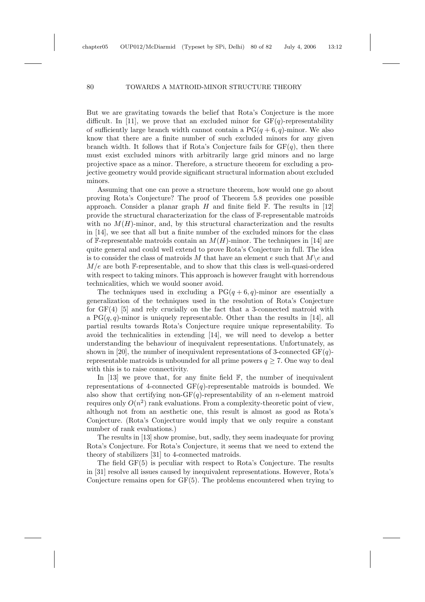But we are gravitating towards the belief that Rota's Conjecture is the more difficult. In [11], we prove that an excluded minor for  $GF(q)$ -representability of sufficiently large branch width cannot contain a  $PG(q + 6, q)$ -minor. We also know that there are a finite number of such excluded minors for any given branch width. It follows that if Rota's Conjecture fails for  $GF(a)$ , then there must exist excluded minors with arbitrarily large grid minors and no large projective space as a minor. Therefore, a structure theorem for excluding a projective geometry would provide significant structural information about excluded minors.

Assuming that one can prove a structure theorem, how would one go about proving Rota's Conjecture? The proof of Theorem 5.8 provides one possible approach. Consider a planar graph  $H$  and finite field  $\mathbb{F}$ . The results in [12] provide the structural characterization for the class of F-representable matroids with no  $M(H)$ -minor, and, by this structural characterization and the results in [14], we see that all but a finite number of the excluded minors for the class of F-representable matroids contain an  $M(H)$ -minor. The techniques in [14] are quite general and could well extend to prove Rota's Conjecture in full. The idea is to consider the class of matroids M that have an element e such that  $M\$ e and  $M/e$  are both F-representable, and to show that this class is well-quasi-ordered with respect to taking minors. This approach is however fraught with horrendous technicalities, which we would sooner avoid.

The techniques used in excluding a  $PG(q + 6, q)$ -minor are essentially a generalization of the techniques used in the resolution of Rota's Conjecture for  $GF(4)$  [5] and rely crucially on the fact that a 3-connected matroid with a  $PG(q,q)$ -minor is uniquely representable. Other than the results in [14], all partial results towards Rota's Conjecture require unique representability. To avoid the technicalities in extending [14], we will need to develop a better understanding the behaviour of inequivalent representations. Unfortunately, as shown in [20], the number of inequivalent representations of 3-connected  $GF(q)$ representable matroids is unbounded for all prime powers  $q \ge 7$ . One way to deal with this is to raise connectivity.

In  $[13]$  we prove that, for any finite field  $\mathbb{F}$ , the number of inequivalent representations of 4-connected  $GF(q)$ -representable matroids is bounded. We also show that certifying non-GF(q)-representability of an n-element matroid requires only  $O(n^2)$  rank evaluations. From a complexity-theoretic point of view, although not from an aesthetic one, this result is almost as good as Rota's Conjecture. (Rota's Conjecture would imply that we only require a constant number of rank evaluations.)

The results in [13] show promise, but, sadly, they seem inadequate for proving Rota's Conjecture. For Rota's Conjecture, it seems that we need to extend the theory of stabilizers [31] to 4-connected matroids.

The field GF(5) is peculiar with respect to Rota's Conjecture. The results in [31] resolve all issues caused by inequivalent representations. However, Rota's Conjecture remains open for GF(5). The problems encountered when trying to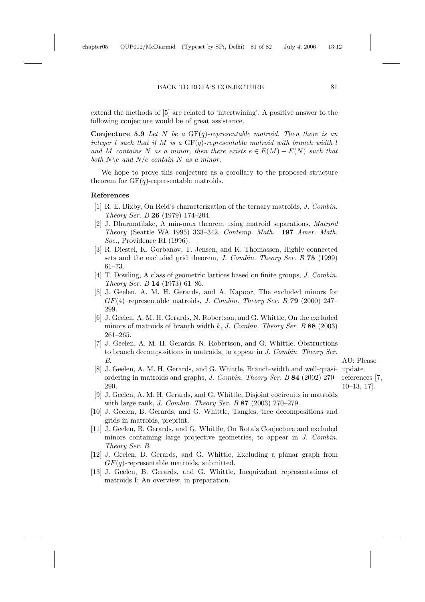#### BACK TO ROTA'S CONJECTURE 81

extend the methods of [5] are related to 'intertwining'. A positive answer to the following conjecture would be of great assistance.

**Conjecture 5.9** Let N be a  $GF(q)$ -representable matroid. Then there is an integer l such that if M is a  $GF(q)$ -representable matroid with branch width l and M contains N as a minor, then there exists  $e \in E(M) - E(N)$  such that both  $N \geq a$ nd  $N/e$  contain N as a minor.

We hope to prove this conjecture as a corollary to the proposed structure theorem for  $GF(q)$ -representable matroids.

#### **References**

- [1] R. E. Bixby, On Reid's characterization of the ternary matroids, J. Combin. Theory Ser. B **26** (1979) 174–204.
- [2] J. Dharmatilake, A min-max theorem using matroid separations, Matroid Theory (Seattle WA 1995) 333–342, Contemp. Math. **197** Amer. Math. Soc., Providence RI (1996).
- [3] R. Diestel, K. Gorbanov, T. Jensen, and K. Thomassen, Highly connected sets and the excluded grid theorem, J. Combin. Theory Ser. B **75** (1999) 61–73.
- [4] T. Dowling, A class of geometric lattices based on finite groups, J. Combin. Theory Ser. B **14** (1973) 61–86.
- [5] J. Geelen, A. M. H. Gerards, and A. Kapoor, The excluded minors for GF(4)–representable matroids, J. Combin. Theory Ser. B **79** (2000) 247– 299.
- [6] J. Geelen, A. M. H. Gerards, N. Robertson, and G. Whittle, On the excluded minors of matroids of branch width k, J. Combin. Theory Ser. B **88** (2003) 261–265.
- [7] J. Geelen, A. M. H. Gerards, N. Robertson, and G. Whittle, Obstructions to branch decompositions in matroids, to appear in J. Combin. Theory Ser. B. AU: Please
- [8] J. Geelen, A. M. H. Gerards, and G. Whittle, Branch-width and well-quasi- update ordering in matroids and graphs, J. Combin. Theory Ser. B 84 (2002) 270– references [7, 290.

10–13, 17].

- [9] J. Geelen, A. M. H. Gerards, and G. Whittle, Disjoint cocircuits in matroids with large rank, J. Combin. Theory Ser. B **87** (2003) 270–279.
- [10] J. Geelen, B. Gerards, and G. Whittle, Tangles, tree decompositions and grids in matroids, preprint.
- [11] J. Geelen, B. Gerards, and G. Whittle, On Rota's Conjecture and excluded minors containing large projective geometries, to appear in J. Combin. Theory Ser. B.
- [12] J. Geelen, B. Gerards, and G. Whittle, Excluding a planar graph from  $GF(q)$ -representable matroids, submitted.
- [13] J. Geelen, B. Gerards, and G. Whittle, Inequivalent representations of matroids I: An overview, in preparation.